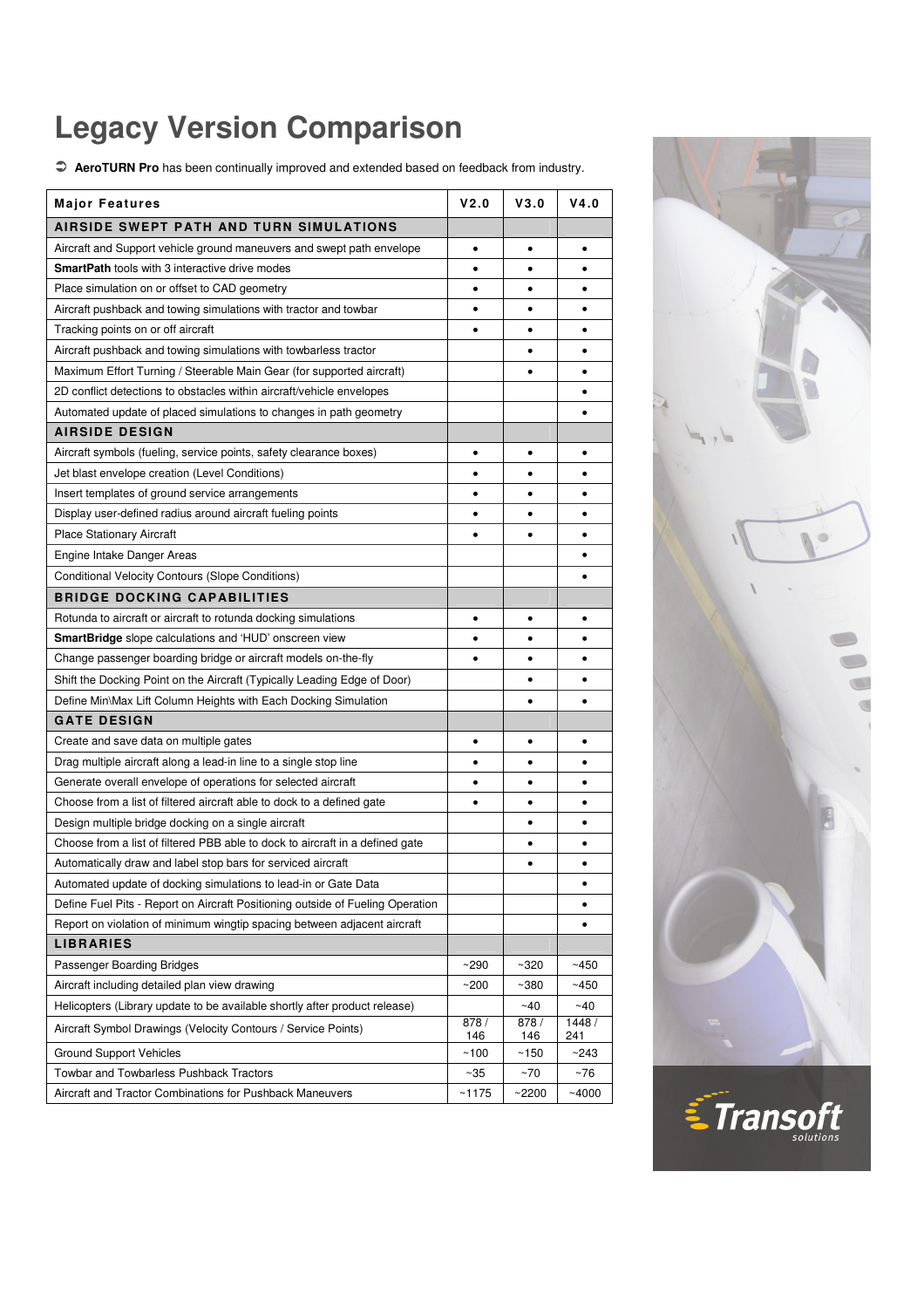## **Legacy Version Comparison**

 **AeroTURN Pro** has been continually improved and extended based on feedback from industry.

| <b>Major Features</b>                                                          | V2.0         | V3.0         | V4.0         |
|--------------------------------------------------------------------------------|--------------|--------------|--------------|
| AIRSIDE SWEPT PATH AND TURN SIMULATIONS                                        |              |              |              |
| Aircraft and Support vehicle ground maneuvers and swept path envelope          | $\bullet$    | $\bullet$    | $\bullet$    |
| <b>SmartPath</b> tools with 3 interactive drive modes                          | ٠            | $\bullet$    | ٠            |
| Place simulation on or offset to CAD geometry                                  | ٠            | $\bullet$    | ٠            |
| Aircraft pushback and towing simulations with tractor and towbar               | ٠            |              | ٠            |
| Tracking points on or off aircraft                                             | ٠            | $\bullet$    | ٠            |
| Aircraft pushback and towing simulations with towbarless tractor               |              | ٠            | ٠            |
| Maximum Effort Turning / Steerable Main Gear (for supported aircraft)          |              | $\bullet$    | ٠            |
| 2D conflict detections to obstacles within aircraft/vehicle envelopes          |              |              |              |
| Automated update of placed simulations to changes in path geometry             |              |              |              |
| <b>AIRSIDE DESIGN</b>                                                          |              |              |              |
| Aircraft symbols (fueling, service points, safety clearance boxes)             | ٠            | $\bullet$    | ٠            |
| Jet blast envelope creation (Level Conditions)                                 | ٠            | $\bullet$    | ٠            |
| Insert templates of ground service arrangements                                | ٠            | $\bullet$    | ٠            |
| Display user-defined radius around aircraft fueling points                     | ٠            |              | ٠            |
| <b>Place Stationary Aircraft</b>                                               | ٠            | $\bullet$    | ٠            |
| Engine Intake Danger Areas                                                     |              |              | ٠            |
|                                                                                |              |              |              |
| Conditional Velocity Contours (Slope Conditions)                               |              |              | ٠            |
| <b>BRIDGE DOCKING CAPABILITIES</b>                                             |              |              |              |
| Rotunda to aircraft or aircraft to rotunda docking simulations                 | ٠            | $\bullet$    | ٠            |
| <b>SmartBridge</b> slope calculations and 'HUD' onscreen view                  | ٠            |              |              |
| Change passenger boarding bridge or aircraft models on-the-fly                 | ٠            | ٠            | ٠            |
| Shift the Docking Point on the Aircraft (Typically Leading Edge of Door)       |              | $\bullet$    | ٠            |
| Define Min\Max Lift Column Heights with Each Docking Simulation                |              |              | $\bullet$    |
| <b>GATE DESIGN</b>                                                             |              |              |              |
| Create and save data on multiple gates                                         | ٠            | $\bullet$    | $\bullet$    |
| Drag multiple aircraft along a lead-in line to a single stop line              | ٠            | ٠            | ٠            |
| Generate overall envelope of operations for selected aircraft                  | ٠            | $\bullet$    | ٠            |
| Choose from a list of filtered aircraft able to dock to a defined gate         | $\bullet$    | $\bullet$    | ٠            |
| Design multiple bridge docking on a single aircraft                            |              |              |              |
| Choose from a list of filtered PBB able to dock to aircraft in a defined gate  |              |              | ٠            |
| Automatically draw and label stop bars for serviced aircraft                   |              |              | $\bullet$    |
| Automated update of docking simulations to lead-in or Gate Data                |              |              | ٠            |
| Define Fuel Pits - Report on Aircraft Positioning outside of Fueling Operation |              |              |              |
| Report on violation of minimum wingtip spacing between adjacent aircraft       |              |              |              |
| <b>LIBRARIES</b>                                                               |              |              |              |
| Passenger Boarding Bridges                                                     | ~290         | $~1$ - 320   | ~1450        |
| Aircraft including detailed plan view drawing                                  | $~1$ 200     | ~100         | ~1450        |
| Helicopters (Library update to be available shortly after product release)     |              | ~40          | ~10          |
| Aircraft Symbol Drawings (Velocity Contours / Service Points)                  | 878 /<br>146 | 878 /<br>146 | 1448/<br>241 |
| <b>Ground Support Vehicles</b>                                                 | ~100         | ~150         | ~243         |
| <b>Towbar and Towbarless Pushback Tractors</b>                                 | ~35          | ~70          | ~76          |
| Aircraft and Tractor Combinations for Pushback Maneuvers                       | ~1175        | ~2200        | ~1000        |